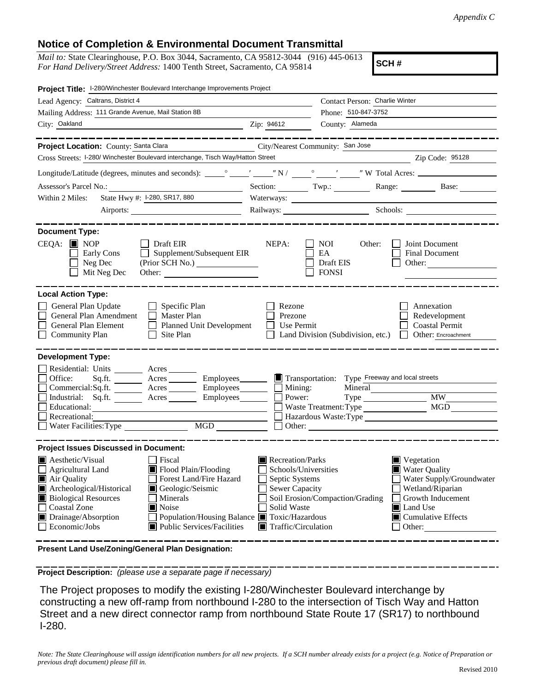## **Notice of Completion & Environmental Document Transmittal**

*Mail to:* State Clearinghouse, P.O. Box 3044, Sacramento, CA 95812-3044 (916) 445-0613 *For Hand Delivery/Street Address:* 1400 Tenth Street, Sacramento, CA 95814

**SCH #**

| Project Title: I-280/Winchester Boulevard Interchange Improvements Project                                                                                                                                                                                                                                                                                                                            |                                                                                                                                   |                                                           |                                                                                                                                                                                                           |
|-------------------------------------------------------------------------------------------------------------------------------------------------------------------------------------------------------------------------------------------------------------------------------------------------------------------------------------------------------------------------------------------------------|-----------------------------------------------------------------------------------------------------------------------------------|-----------------------------------------------------------|-----------------------------------------------------------------------------------------------------------------------------------------------------------------------------------------------------------|
| Lead Agency: Caltrans, District 4                                                                                                                                                                                                                                                                                                                                                                     | Contact Person: Charlie Winter                                                                                                    |                                                           |                                                                                                                                                                                                           |
| Mailing Address: 111 Grande Avenue, Mail Station 8B                                                                                                                                                                                                                                                                                                                                                   | Phone: 510-847-3752                                                                                                               |                                                           |                                                                                                                                                                                                           |
| City: Oakland<br>Zip: 94612                                                                                                                                                                                                                                                                                                                                                                           |                                                                                                                                   | County: Alameda                                           |                                                                                                                                                                                                           |
| Project Location: County: Santa Clara                                                                                                                                                                                                                                                                                                                                                                 |                                                                                                                                   | City/Nearest Community: San Jose                          |                                                                                                                                                                                                           |
| Cross Streets: I-280/ Winchester Boulevard interchange, Tisch Way/Hatton Street                                                                                                                                                                                                                                                                                                                       |                                                                                                                                   |                                                           | Zip Code: 95128                                                                                                                                                                                           |
|                                                                                                                                                                                                                                                                                                                                                                                                       |                                                                                                                                   |                                                           |                                                                                                                                                                                                           |
| Assessor's Parcel No.:                                                                                                                                                                                                                                                                                                                                                                                |                                                                                                                                   |                                                           | Section: Twp.: Range: Base:                                                                                                                                                                               |
| State Hwy #: 1-280, SR17, 880<br>Within 2 Miles:                                                                                                                                                                                                                                                                                                                                                      | Waterways:                                                                                                                        |                                                           |                                                                                                                                                                                                           |
|                                                                                                                                                                                                                                                                                                                                                                                                       |                                                                                                                                   | Railways: Schools: Schools:                               |                                                                                                                                                                                                           |
| <b>Document Type:</b>                                                                                                                                                                                                                                                                                                                                                                                 |                                                                                                                                   |                                                           |                                                                                                                                                                                                           |
| $CEQA:$ MOP<br>$\Box$ Draft EIR<br>Early Cons<br>Supplement/Subsequent EIR<br>$\Box$ Neg Dec<br>$\Box$ Mit Neg Dec<br>Other:                                                                                                                                                                                                                                                                          | NEPA:                                                                                                                             | NOI<br>Other:<br>EA<br>Draft EIS<br><b>FONSI</b>          | Joint Document<br>Final Document<br>Other:                                                                                                                                                                |
| <b>Local Action Type:</b>                                                                                                                                                                                                                                                                                                                                                                             |                                                                                                                                   |                                                           |                                                                                                                                                                                                           |
| General Plan Update<br>$\Box$ Specific Plan<br>General Plan Amendment<br><b>Master Plan</b><br>$\perp$<br>General Plan Element<br>Planned Unit Development<br>Community Plan<br>$\Box$ Site Plan                                                                                                                                                                                                      | Rezone<br>Prezone<br>Use Permit                                                                                                   | Land Division (Subdivision, etc.)                         | Annexation<br>Redevelopment<br><b>Coastal Permit</b><br>Other: Encroachment                                                                                                                               |
| <b>Development Type:</b><br>Residential: Units _______ Acres<br>Office:<br>Commercial:Sq.ft. _________ Acres __________ Employees________<br>Industrial: Sq.ft. <u>Community Acres</u> Acres Employees<br>Educational:<br>Recreational:<br>$\Box$ Water Facilities: Type                                                                                                                              | $\Box$ Mining:<br>Power:<br>Other:                                                                                                | Mineral<br>Waste Treatment: Type<br>Hazardous Waste: Type | <b>MW</b><br>MGD                                                                                                                                                                                          |
| <b>Project Issues Discussed in Document:</b>                                                                                                                                                                                                                                                                                                                                                          |                                                                                                                                   |                                                           |                                                                                                                                                                                                           |
| <b>A</b> esthetic/Visual<br>Fiscal<br>Flood Plain/Flooding<br>Agricultural Land<br>Forest Land/Fire Hazard<br>Air Quality<br>Archeological/Historical<br>Geologic/Seismic<br><b>Biological Resources</b><br>Minerals<br>$\mathbf{I}$<br>□ Coastal Zone<br><b>Noise</b><br>Drainage/Absorption<br>Population/Housing Balance ■ Toxic/Hazardous<br><b>■</b> Public Services/Facilities<br>Economic/Jobs | Recreation/Parks<br>Schools/Universities<br>Septic Systems<br>Sewer Capacity<br>Solid Waste<br>$\blacksquare$ Traffic/Circulation | Soil Erosion/Compaction/Grading                           | $\blacksquare$ Vegetation<br>■ Water Quality<br>Water Supply/Groundwater<br>$\Box$ Wetland/Riparian<br>Growth Inducement<br>$\blacksquare$ Land Use<br>$\blacksquare$ Cumulative Effects<br>$\Box$ Other: |

**Present Land Use/Zoning/General Plan Designation:**

**Project Description:** *(please use a separate page if necessary)*

 The Project proposes to modify the existing I-280/Winchester Boulevard interchange by constructing a new off-ramp from northbound I-280 to the intersection of Tisch Way and Hatton Street and a new direct connector ramp from northbound State Route 17 (SR17) to northbound I-280.

*Note: The State Clearinghouse will assign identification numbers for all new projects. If a SCH number already exists for a project (e.g. Notice of Preparation or previous draft document) please fill in.*